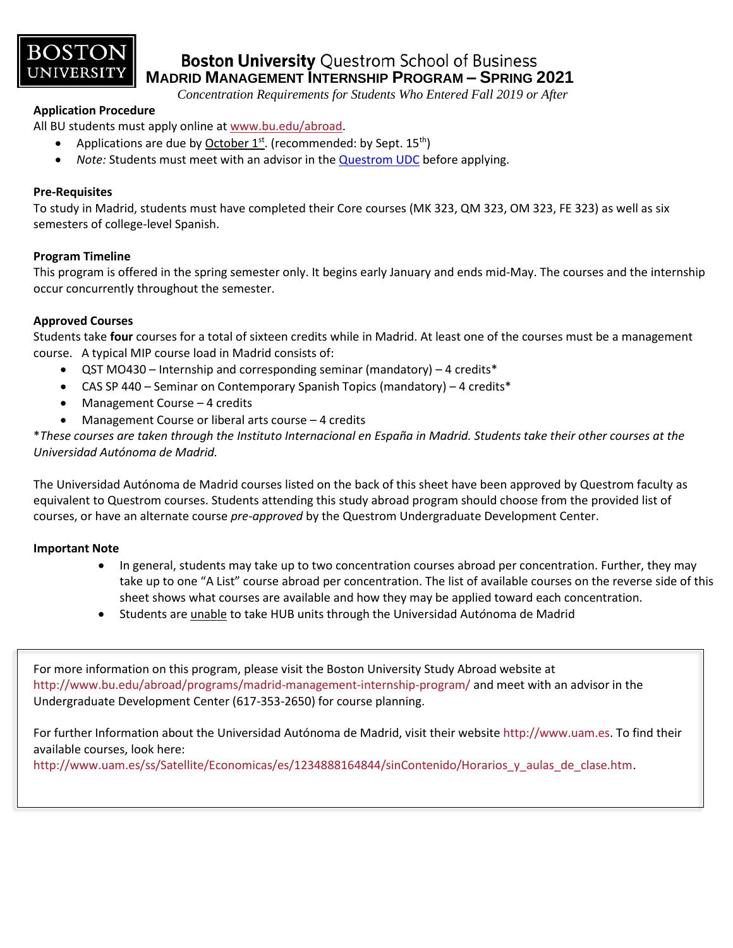

### **Boston University Questrom School of Business MADRID MANAGEMENT INTERNSHIP PROGRAM – SPRING 2021**

 *Concentration Requirements for Students Who Entered Fall 2019 or After*

### **Application Procedure**

All BU students must apply online at [www.bu.edu/abroad.](http://www.bu.edu/abroad)

- Applications are due by  $October 1<sup>st</sup>$ . (recommended: by Sept.  $15<sup>th</sup>$ )
- *Note:* Students must meet with an advisor in the [Questrom UDC](http://questromworld.bu.edu/studyabroad/advising/) before applying.

### **Pre-Requisites**

To study in Madrid, students must have completed their Core courses (MK 323, QM 323, OM 323, FE 323) as well as six semesters of college-level Spanish.

### **Program Timeline**

This program is offered in the spring semester only. It begins early January and ends mid-May. The courses and the internship occur concurrently throughout the semester.

### **Approved Courses**

Students take **four** courses for a total of sixteen credits while in Madrid. At least one of the courses must be a management course. A typical MIP course load in Madrid consists of:

- QST MO430 Internship and corresponding seminar (mandatory) 4 credits\*
- CAS SP 440 Seminar on Contemporary Spanish Topics (mandatory) 4 credits\*
- Management Course 4 credits
- Management Course or liberal arts course 4 credits

\**These courses are taken through the Instituto Internacional en España in Madrid. Students take their other courses at the Universidad Autónoma de Madrid.*

The Universidad Autónoma de Madrid courses listed on the back of this sheet have been approved by Questrom faculty as equivalent to Questrom courses. Students attending this study abroad program should choose from the provided list of courses, or have an alternate course *pre-approved* by the Questrom Undergraduate Development Center.

### **Important Note**

- In general, students may take up to two concentration courses abroad per concentration. Further, they may take up to one "A List" course abroad per concentration. The list of available courses on the reverse side of this sheet shows what courses are available and how they may be applied toward each concentration.
- Students are unable to take HUB units through the Universidad Aut*ó*noma de Madrid

For more information on this program, please visit the Boston University Study Abroad website at <http://www.bu.edu/abroad/programs/madrid-management-internship-program/> and meet with an advisor in the Undergraduate Development Center (617-353-2650) for course planning.

For further Information about the Universidad Autónoma de Madrid, visit their websit[e http://www.uam.es.](http://www.uam.es/) To find their available courses, look here:

[http://www.uam.es/ss/Satellite/Economicas/es/1234888164844/sinContenido/Horarios\\_y\\_aulas\\_de\\_clase.htm.](http://www.uam.es/ss/Satellite/Economicas/es/1234888164844/sinContenido/Horarios_y_aulas_de_clase.htm)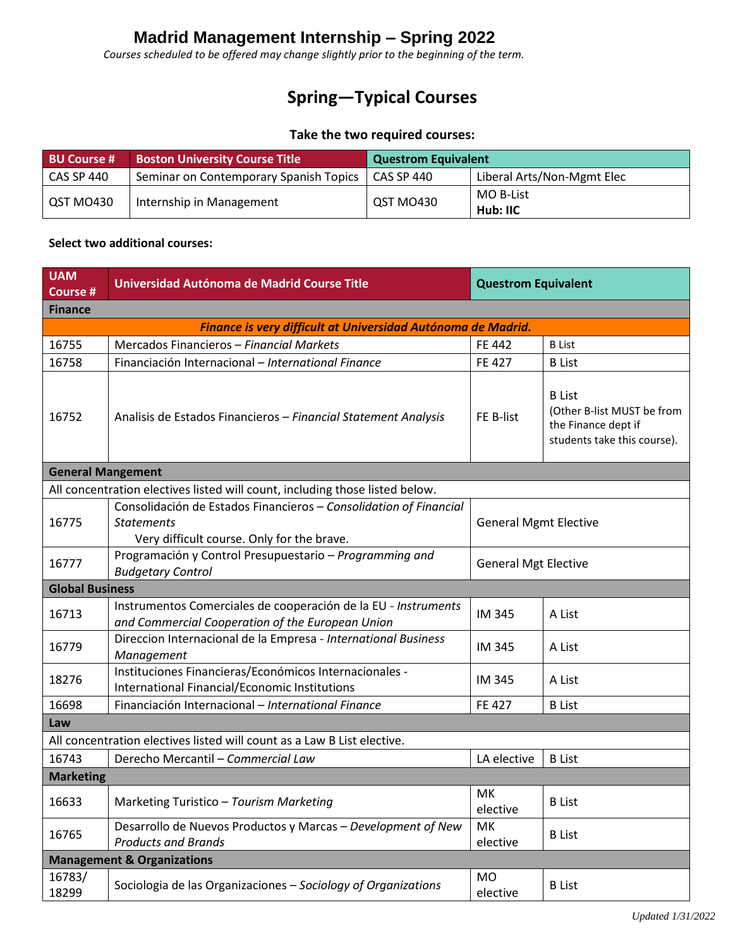## **Madrid Management Internship – Spring 2022**

*Courses scheduled to be offered may change slightly prior to the beginning of the term.*

# **Spring—Typical Courses**

### **Take the two required courses:**

| <b>BU Course #</b> | <b>Boston University Course Title</b>  | <b>Questrom Equivalent</b> |                            |  |
|--------------------|----------------------------------------|----------------------------|----------------------------|--|
| <b>CAS SP 440</b>  | Seminar on Contemporary Spanish Topics | CAS SP 440                 | Liberal Arts/Non-Mgmt Elec |  |
| QST MO430          | Internship in Management               | QST MO430                  | MO B-List                  |  |
|                    |                                        |                            | Hub: IIC                   |  |

#### **Select two additional courses:**

| <b>UAM</b><br><b>Course #</b>                                | Universidad Autónoma de Madrid Course Title                                                                                          | <b>Questrom Equivalent</b>   |                                                                                                   |  |  |  |  |  |
|--------------------------------------------------------------|--------------------------------------------------------------------------------------------------------------------------------------|------------------------------|---------------------------------------------------------------------------------------------------|--|--|--|--|--|
| <b>Finance</b>                                               |                                                                                                                                      |                              |                                                                                                   |  |  |  |  |  |
| Finance is very difficult at Universidad Autónoma de Madrid. |                                                                                                                                      |                              |                                                                                                   |  |  |  |  |  |
| 16755                                                        | Mercados Financieros - Financial Markets                                                                                             | <b>FE 442</b>                | <b>B</b> List                                                                                     |  |  |  |  |  |
| 16758                                                        | Financiación Internacional - International Finance                                                                                   | <b>FE427</b>                 | <b>B</b> List                                                                                     |  |  |  |  |  |
| 16752                                                        | Analisis de Estados Financieros - Financial Statement Analysis                                                                       | FE B-list                    | <b>B</b> List<br>(Other B-list MUST be from<br>the Finance dept if<br>students take this course). |  |  |  |  |  |
| <b>General Mangement</b>                                     |                                                                                                                                      |                              |                                                                                                   |  |  |  |  |  |
|                                                              | All concentration electives listed will count, including those listed below.                                                         |                              |                                                                                                   |  |  |  |  |  |
| 16775                                                        | Consolidación de Estados Financieros - Consolidation of Financial<br><b>Statements</b><br>Very difficult course. Only for the brave. | <b>General Mgmt Elective</b> |                                                                                                   |  |  |  |  |  |
| 16777                                                        | Programación y Control Presupuestario - Programming and<br><b>Budgetary Control</b>                                                  | <b>General Mgt Elective</b>  |                                                                                                   |  |  |  |  |  |
| <b>Global Business</b>                                       |                                                                                                                                      |                              |                                                                                                   |  |  |  |  |  |
| 16713                                                        | Instrumentos Comerciales de cooperación de la EU - Instruments<br>and Commercial Cooperation of the European Union                   | IM 345                       | A List                                                                                            |  |  |  |  |  |
| 16779                                                        | Direccion Internacional de la Empresa - International Business<br>Management                                                         | IM 345                       | A List                                                                                            |  |  |  |  |  |
| 18276                                                        | Instituciones Financieras/Económicos Internacionales -<br>International Financial/Economic Institutions                              | IM 345                       | A List                                                                                            |  |  |  |  |  |
| 16698                                                        | Financiación Internacional - International Finance                                                                                   | <b>FE427</b>                 | <b>B</b> List                                                                                     |  |  |  |  |  |
| Law                                                          |                                                                                                                                      |                              |                                                                                                   |  |  |  |  |  |
|                                                              | All concentration electives listed will count as a Law B List elective.                                                              |                              |                                                                                                   |  |  |  |  |  |
| 16743                                                        | Derecho Mercantil - Commercial Law                                                                                                   | LA elective                  | <b>B</b> List                                                                                     |  |  |  |  |  |
| <b>Marketing</b>                                             |                                                                                                                                      |                              |                                                                                                   |  |  |  |  |  |
| 16633                                                        | Marketing Turistico - Tourism Marketing                                                                                              | МK<br>elective               | <b>B</b> List                                                                                     |  |  |  |  |  |
| 16765                                                        | Desarrollo de Nuevos Productos y Marcas - Development of New<br><b>Products and Brands</b>                                           | МK<br>elective               | <b>B</b> List                                                                                     |  |  |  |  |  |
|                                                              | <b>Management &amp; Organizations</b>                                                                                                |                              |                                                                                                   |  |  |  |  |  |
| 16783/<br>18299                                              | Sociologia de las Organizaciones - Sociology of Organizations                                                                        | MO<br>elective               | <b>B</b> List                                                                                     |  |  |  |  |  |